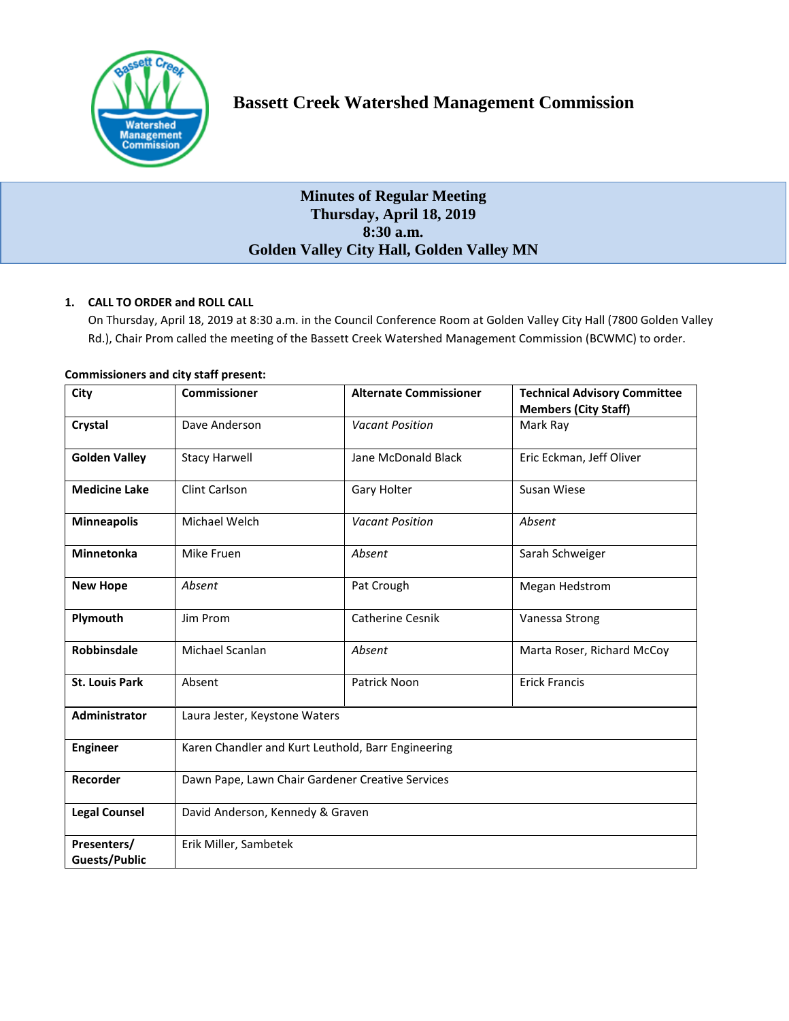

# **Bassett Creek Watershed Management Commission**

# **Minutes of Regular Meeting Thursday, April 18, 2019 8:30 a.m. Golden Valley City Hall, Golden Valley MN**

# **1. CALL TO ORDER and ROLL CALL**

On Thursday, April 18, 2019 at 8:30 a.m. in the Council Conference Room at Golden Valley City Hall (7800 Golden Valley Rd.), Chair Prom called the meeting of the Bassett Creek Watershed Management Commission (BCWMC) to order.

| City                                | <b>Commissioner</b>                                | <b>Alternate Commissioner</b> | <b>Technical Advisory Committee</b><br><b>Members (City Staff)</b> |
|-------------------------------------|----------------------------------------------------|-------------------------------|--------------------------------------------------------------------|
| Crystal                             | Dave Anderson                                      | <b>Vacant Position</b>        | Mark Ray                                                           |
| <b>Golden Valley</b>                | <b>Stacy Harwell</b>                               | Jane McDonald Black           | Eric Eckman, Jeff Oliver                                           |
| <b>Medicine Lake</b>                | <b>Clint Carlson</b>                               | Gary Holter                   | Susan Wiese                                                        |
| <b>Minneapolis</b>                  | Michael Welch                                      | <b>Vacant Position</b>        | Absent                                                             |
| <b>Minnetonka</b>                   | Mike Fruen                                         | Absent                        | Sarah Schweiger                                                    |
| <b>New Hope</b>                     | Absent                                             | Pat Crough                    | Megan Hedstrom                                                     |
| Plymouth                            | Jim Prom                                           | <b>Catherine Cesnik</b>       | Vanessa Strong                                                     |
| Robbinsdale                         | Michael Scanlan                                    | Absent                        | Marta Roser, Richard McCoy                                         |
| <b>St. Louis Park</b>               | Absent                                             | Patrick Noon                  | <b>Erick Francis</b>                                               |
| Administrator                       | Laura Jester, Keystone Waters                      |                               |                                                                    |
| <b>Engineer</b>                     | Karen Chandler and Kurt Leuthold, Barr Engineering |                               |                                                                    |
| Recorder                            | Dawn Pape, Lawn Chair Gardener Creative Services   |                               |                                                                    |
| <b>Legal Counsel</b>                | David Anderson, Kennedy & Graven                   |                               |                                                                    |
| Presenters/<br><b>Guests/Public</b> | Erik Miller, Sambetek                              |                               |                                                                    |

#### **Commissioners and city staff present:**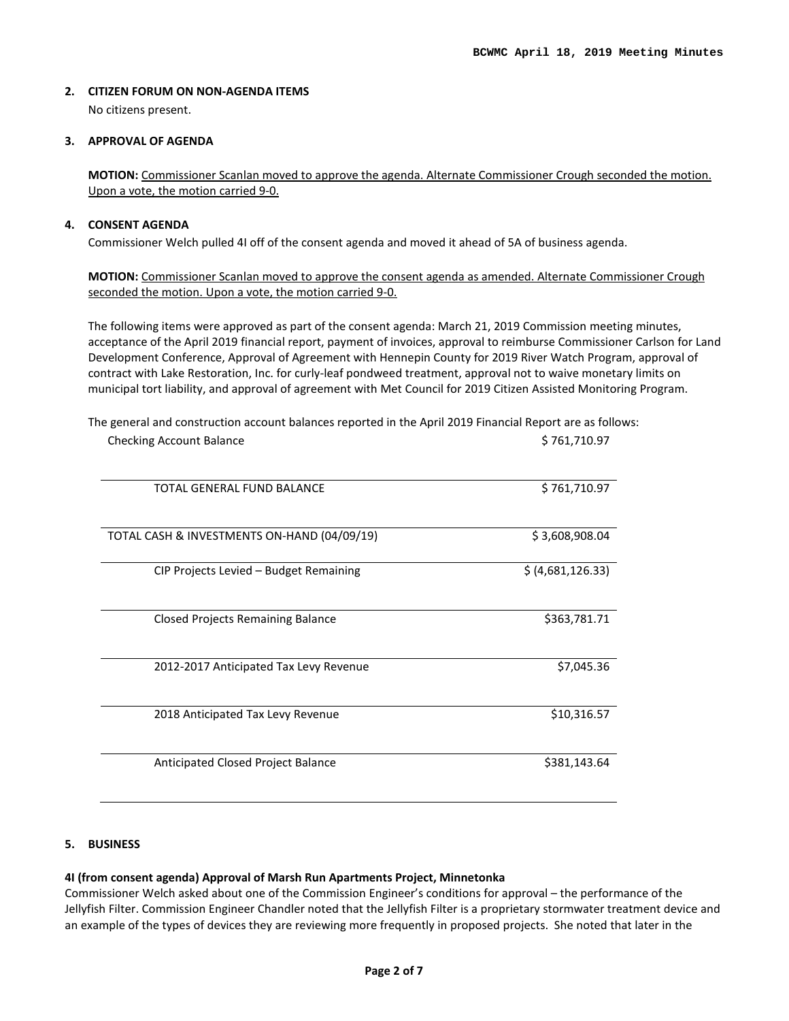# **2. CITIZEN FORUM ON NON-AGENDA ITEMS**

No citizens present.

# **3. APPROVAL OF AGENDA**

**MOTION:** Commissioner Scanlan moved to approve the agenda. Alternate Commissioner Crough seconded the motion. Upon a vote, the motion carried 9-0.

# **4. CONSENT AGENDA**

Commissioner Welch pulled 4I off of the consent agenda and moved it ahead of 5A of business agenda.

**MOTION:** Commissioner Scanlan moved to approve the consent agenda as amended. Alternate Commissioner Crough seconded the motion. Upon a vote, the motion carried 9-0.

The following items were approved as part of the consent agenda: March 21, 2019 Commission meeting minutes, acceptance of the April 2019 financial report, payment of invoices, approval to reimburse Commissioner Carlson for Land Development Conference, Approval of Agreement with Hennepin County for 2019 River Watch Program, approval of contract with Lake Restoration, Inc. for curly-leaf pondweed treatment, approval not to waive monetary limits on municipal tort liability, and approval of agreement with Met Council for 2019 Citizen Assisted Monitoring Program.

| TOTAL GENERAL FUND BALANCE                  | \$761,710.97      |
|---------------------------------------------|-------------------|
| TOTAL CASH & INVESTMENTS ON-HAND (04/09/19) | \$3,608,908.04    |
| CIP Projects Levied – Budget Remaining      | \$ (4,681,126.33) |
| <b>Closed Projects Remaining Balance</b>    | \$363,781.71      |
| 2012-2017 Anticipated Tax Levy Revenue      | \$7,045.36        |
| 2018 Anticipated Tax Levy Revenue           | \$10,316.57       |
| Anticipated Closed Project Balance          | \$381,143.64      |

The general and construction account balances reported in the April 2019 Financial Report are as follows: Checking Account Balance **\$ 761,710.97** \$ 761,710.97

# **5. BUSINESS**

# **4I (from consent agenda) Approval of Marsh Run Apartments Project, Minnetonka**

Commissioner Welch asked about one of the Commission Engineer's conditions for approval – the performance of the Jellyfish Filter. Commission Engineer Chandler noted that the Jellyfish Filter is a proprietary stormwater treatment device and an example of the types of devices they are reviewing more frequently in proposed projects. She noted that later in the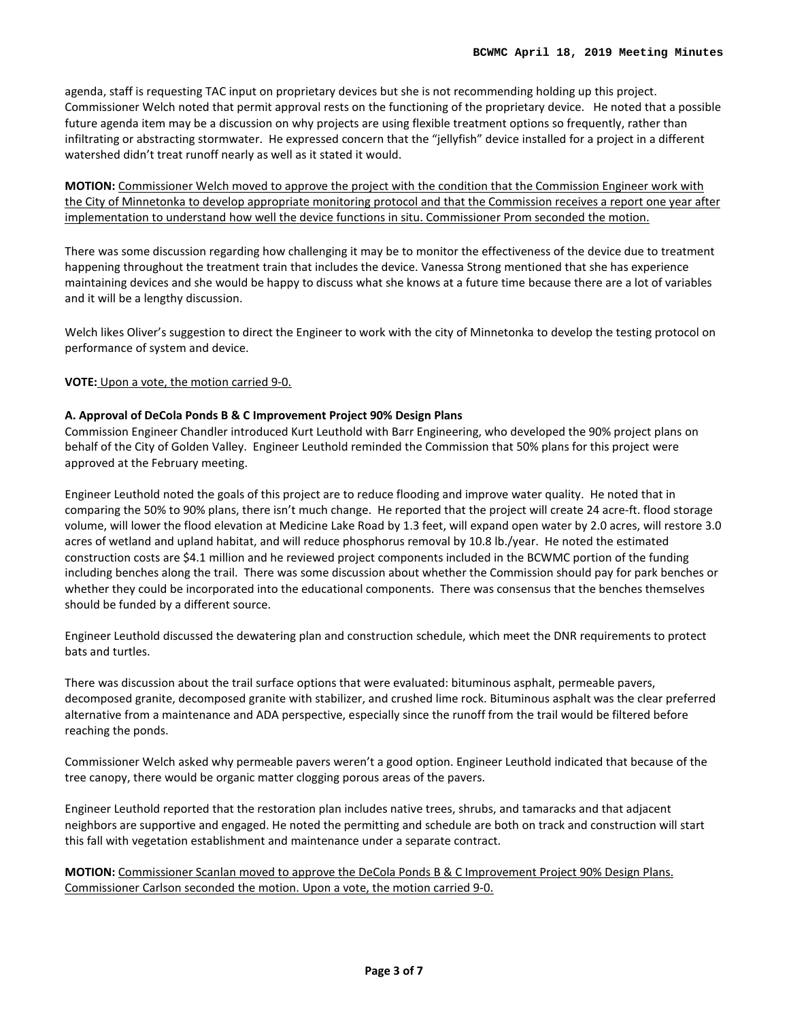agenda, staff is requesting TAC input on proprietary devices but she is not recommending holding up this project. Commissioner Welch noted that permit approval rests on the functioning of the proprietary device. He noted that a possible future agenda item may be a discussion on why projects are using flexible treatment options so frequently, rather than infiltrating or abstracting stormwater. He expressed concern that the "jellyfish" device installed for a project in a different watershed didn't treat runoff nearly as well as it stated it would.

**MOTION:** Commissioner Welch moved to approve the project with the condition that the Commission Engineer work with the City of Minnetonka to develop appropriate monitoring protocol and that the Commission receives a report one year after implementation to understand how well the device functions in situ. Commissioner Prom seconded the motion.

There was some discussion regarding how challenging it may be to monitor the effectiveness of the device due to treatment happening throughout the treatment train that includes the device. Vanessa Strong mentioned that she has experience maintaining devices and she would be happy to discuss what she knows at a future time because there are a lot of variables and it will be a lengthy discussion.

Welch likes Oliver's suggestion to direct the Engineer to work with the city of Minnetonka to develop the testing protocol on performance of system and device.

#### **VOTE:** Upon a vote, the motion carried 9-0.

#### **A. Approval of DeCola Ponds B & C Improvement Project 90% Design Plans**

Commission Engineer Chandler introduced Kurt Leuthold with Barr Engineering, who developed the 90% project plans on behalf of the City of Golden Valley. Engineer Leuthold reminded the Commission that 50% plans for this project were approved at the February meeting.

Engineer Leuthold noted the goals of this project are to reduce flooding and improve water quality. He noted that in comparing the 50% to 90% plans, there isn't much change. He reported that the project will create 24 acre-ft. flood storage volume, will lower the flood elevation at Medicine Lake Road by 1.3 feet, will expand open water by 2.0 acres, will restore 3.0 acres of wetland and upland habitat, and will reduce phosphorus removal by 10.8 lb./year. He noted the estimated construction costs are \$4.1 million and he reviewed project components included in the BCWMC portion of the funding including benches along the trail. There was some discussion about whether the Commission should pay for park benches or whether they could be incorporated into the educational components. There was consensus that the benches themselves should be funded by a different source.

Engineer Leuthold discussed the dewatering plan and construction schedule, which meet the DNR requirements to protect bats and turtles.

There was discussion about the trail surface options that were evaluated: bituminous asphalt, permeable pavers, decomposed granite, decomposed granite with stabilizer, and crushed lime rock. Bituminous asphalt was the clear preferred alternative from a maintenance and ADA perspective, especially since the runoff from the trail would be filtered before reaching the ponds.

Commissioner Welch asked why permeable pavers weren't a good option. Engineer Leuthold indicated that because of the tree canopy, there would be organic matter clogging porous areas of the pavers.

Engineer Leuthold reported that the restoration plan includes native trees, shrubs, and tamaracks and that adjacent neighbors are supportive and engaged. He noted the permitting and schedule are both on track and construction will start this fall with vegetation establishment and maintenance under a separate contract.

**MOTION:** Commissioner Scanlan moved to approve the DeCola Ponds B & C Improvement Project 90% Design Plans. Commissioner Carlson seconded the motion. Upon a vote, the motion carried 9-0.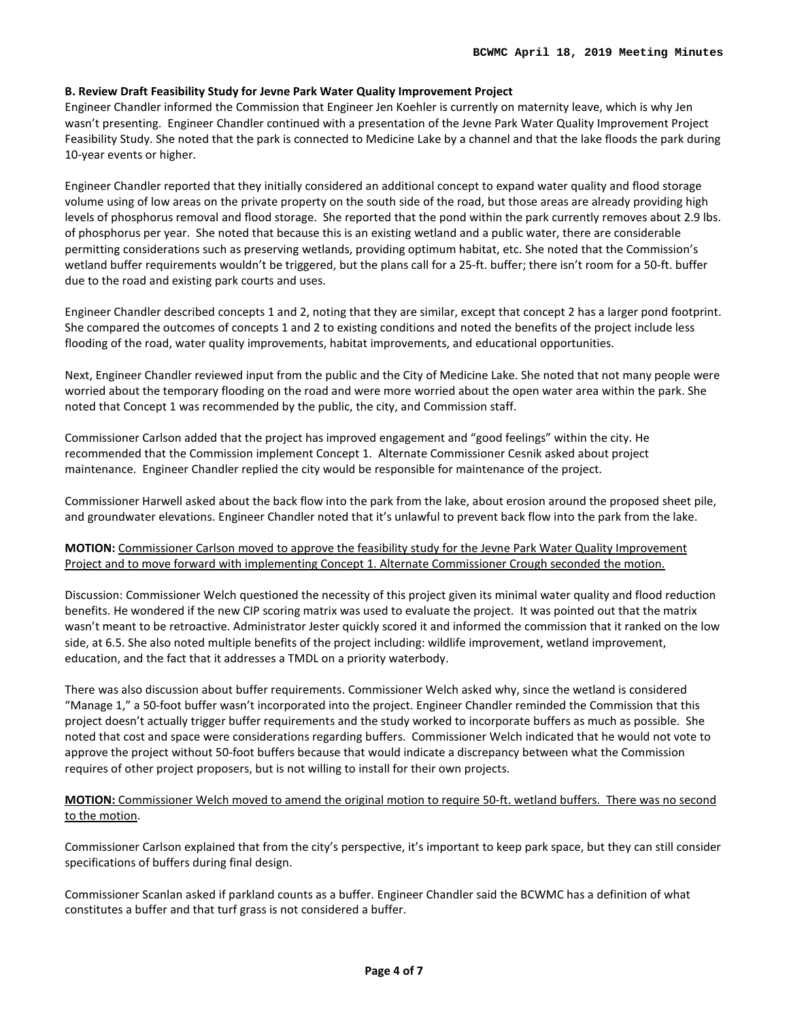#### **B. Review Draft Feasibility Study for Jevne Park Water Quality Improvement Project**

Engineer Chandler informed the Commission that Engineer Jen Koehler is currently on maternity leave, which is why Jen wasn't presenting. Engineer Chandler continued with a presentation of the Jevne Park Water Quality Improvement Project Feasibility Study. She noted that the park is connected to Medicine Lake by a channel and that the lake floods the park during 10-year events or higher.

Engineer Chandler reported that they initially considered an additional concept to expand water quality and flood storage volume using of low areas on the private property on the south side of the road, but those areas are already providing high levels of phosphorus removal and flood storage. She reported that the pond within the park currently removes about 2.9 lbs. of phosphorus per year. She noted that because this is an existing wetland and a public water, there are considerable permitting considerations such as preserving wetlands, providing optimum habitat, etc. She noted that the Commission's wetland buffer requirements wouldn't be triggered, but the plans call for a 25-ft. buffer; there isn't room for a 50-ft. buffer due to the road and existing park courts and uses.

Engineer Chandler described concepts 1 and 2, noting that they are similar, except that concept 2 has a larger pond footprint. She compared the outcomes of concepts 1 and 2 to existing conditions and noted the benefits of the project include less flooding of the road, water quality improvements, habitat improvements, and educational opportunities.

Next, Engineer Chandler reviewed input from the public and the City of Medicine Lake. She noted that not many people were worried about the temporary flooding on the road and were more worried about the open water area within the park. She noted that Concept 1 was recommended by the public, the city, and Commission staff.

Commissioner Carlson added that the project has improved engagement and "good feelings" within the city. He recommended that the Commission implement Concept 1. Alternate Commissioner Cesnik asked about project maintenance. Engineer Chandler replied the city would be responsible for maintenance of the project.

Commissioner Harwell asked about the back flow into the park from the lake, about erosion around the proposed sheet pile, and groundwater elevations. Engineer Chandler noted that it's unlawful to prevent back flow into the park from the lake.

# **MOTION:** Commissioner Carlson moved to approve the feasibility study for the Jevne Park Water Quality Improvement Project and to move forward with implementing Concept 1. Alternate Commissioner Crough seconded the motion.

Discussion: Commissioner Welch questioned the necessity of this project given its minimal water quality and flood reduction benefits. He wondered if the new CIP scoring matrix was used to evaluate the project. It was pointed out that the matrix wasn't meant to be retroactive. Administrator Jester quickly scored it and informed the commission that it ranked on the low side, at 6.5. She also noted multiple benefits of the project including: wildlife improvement, wetland improvement, education, and the fact that it addresses a TMDL on a priority waterbody.

There was also discussion about buffer requirements. Commissioner Welch asked why, since the wetland is considered "Manage 1," a 50-foot buffer wasn't incorporated into the project. Engineer Chandler reminded the Commission that this project doesn't actually trigger buffer requirements and the study worked to incorporate buffers as much as possible. She noted that cost and space were considerations regarding buffers. Commissioner Welch indicated that he would not vote to approve the project without 50-foot buffers because that would indicate a discrepancy between what the Commission requires of other project proposers, but is not willing to install for their own projects.

# **MOTION:** Commissioner Welch moved to amend the original motion to require 50-ft. wetland buffers. There was no second to the motion.

Commissioner Carlson explained that from the city's perspective, it's important to keep park space, but they can still consider specifications of buffers during final design.

Commissioner Scanlan asked if parkland counts as a buffer. Engineer Chandler said the BCWMC has a definition of what constitutes a buffer and that turf grass is not considered a buffer.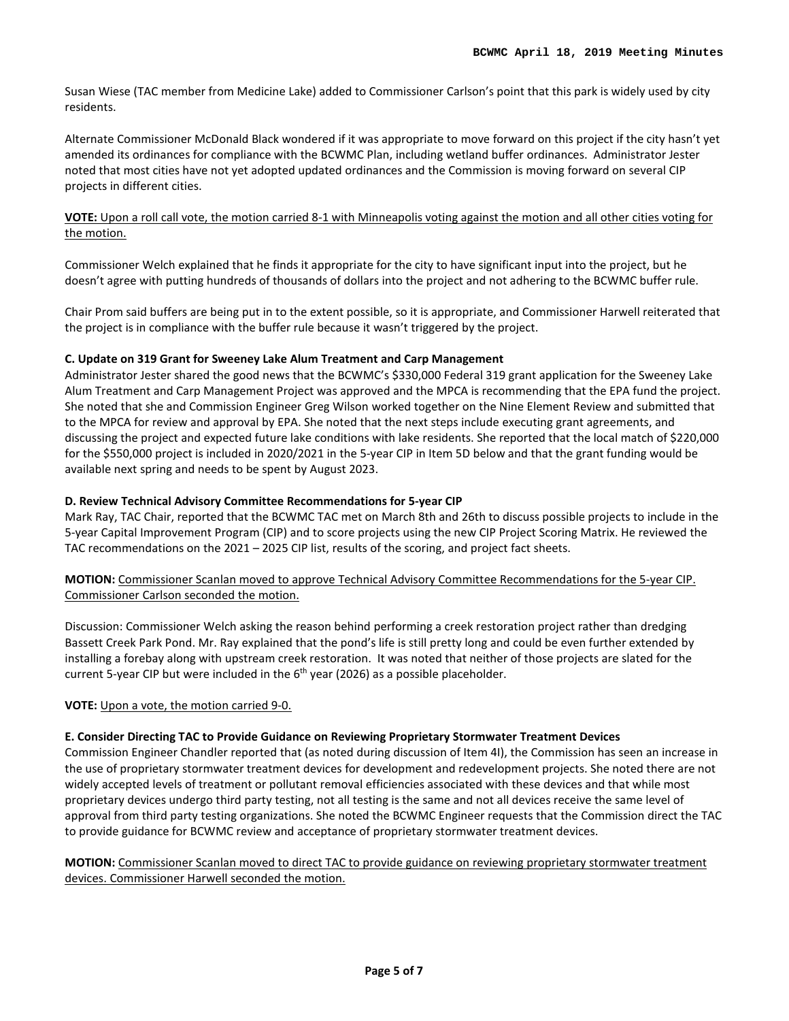Susan Wiese (TAC member from Medicine Lake) added to Commissioner Carlson's point that this park is widely used by city residents.

Alternate Commissioner McDonald Black wondered if it was appropriate to move forward on this project if the city hasn't yet amended its ordinances for compliance with the BCWMC Plan, including wetland buffer ordinances. Administrator Jester noted that most cities have not yet adopted updated ordinances and the Commission is moving forward on several CIP projects in different cities.

# **VOTE:** Upon a roll call vote, the motion carried 8-1 with Minneapolis voting against the motion and all other cities voting for the motion.

Commissioner Welch explained that he finds it appropriate for the city to have significant input into the project, but he doesn't agree with putting hundreds of thousands of dollars into the project and not adhering to the BCWMC buffer rule.

Chair Prom said buffers are being put in to the extent possible, so it is appropriate, and Commissioner Harwell reiterated that the project is in compliance with the buffer rule because it wasn't triggered by the project.

# **C. Update on 319 Grant for Sweeney Lake Alum Treatment and Carp Management**

Administrator Jester shared the good news that the BCWMC's \$330,000 Federal 319 grant application for the Sweeney Lake Alum Treatment and Carp Management Project was approved and the MPCA is recommending that the EPA fund the project. She noted that she and Commission Engineer Greg Wilson worked together on the Nine Element Review and submitted that to the MPCA for review and approval by EPA. She noted that the next steps include executing grant agreements, and discussing the project and expected future lake conditions with lake residents. She reported that the local match of \$220,000 for the \$550,000 project is included in 2020/2021 in the 5-year CIP in Item 5D below and that the grant funding would be available next spring and needs to be spent by August 2023.

# **D. Review Technical Advisory Committee Recommendations for 5-year CIP**

Mark Ray, TAC Chair, reported that the BCWMC TAC met on March 8th and 26th to discuss possible projects to include in the 5-year Capital Improvement Program (CIP) and to score projects using the new CIP Project Scoring Matrix. He reviewed the TAC recommendations on the 2021 – 2025 CIP list, results of the scoring, and project fact sheets.

# **MOTION:** Commissioner Scanlan moved to approve Technical Advisory Committee Recommendations for the 5-year CIP. Commissioner Carlson seconded the motion.

Discussion: Commissioner Welch asking the reason behind performing a creek restoration project rather than dredging Bassett Creek Park Pond. Mr. Ray explained that the pond's life is still pretty long and could be even further extended by installing a forebay along with upstream creek restoration. It was noted that neither of those projects are slated for the current 5-year CIP but were included in the  $6<sup>th</sup>$  year (2026) as a possible placeholder.

# **VOTE:** Upon a vote, the motion carried 9-0.

# **E. Consider Directing TAC to Provide Guidance on Reviewing Proprietary Stormwater Treatment Devices**

Commission Engineer Chandler reported that (as noted during discussion of Item 4I), the Commission has seen an increase in the use of proprietary stormwater treatment devices for development and redevelopment projects. She noted there are not widely accepted levels of treatment or pollutant removal efficiencies associated with these devices and that while most proprietary devices undergo third party testing, not all testing is the same and not all devices receive the same level of approval from third party testing organizations. She noted the BCWMC Engineer requests that the Commission direct the TAC to provide guidance for BCWMC review and acceptance of proprietary stormwater treatment devices.

# **MOTION:** Commissioner Scanlan moved to direct TAC to provide guidance on reviewing proprietary stormwater treatment devices. Commissioner Harwell seconded the motion.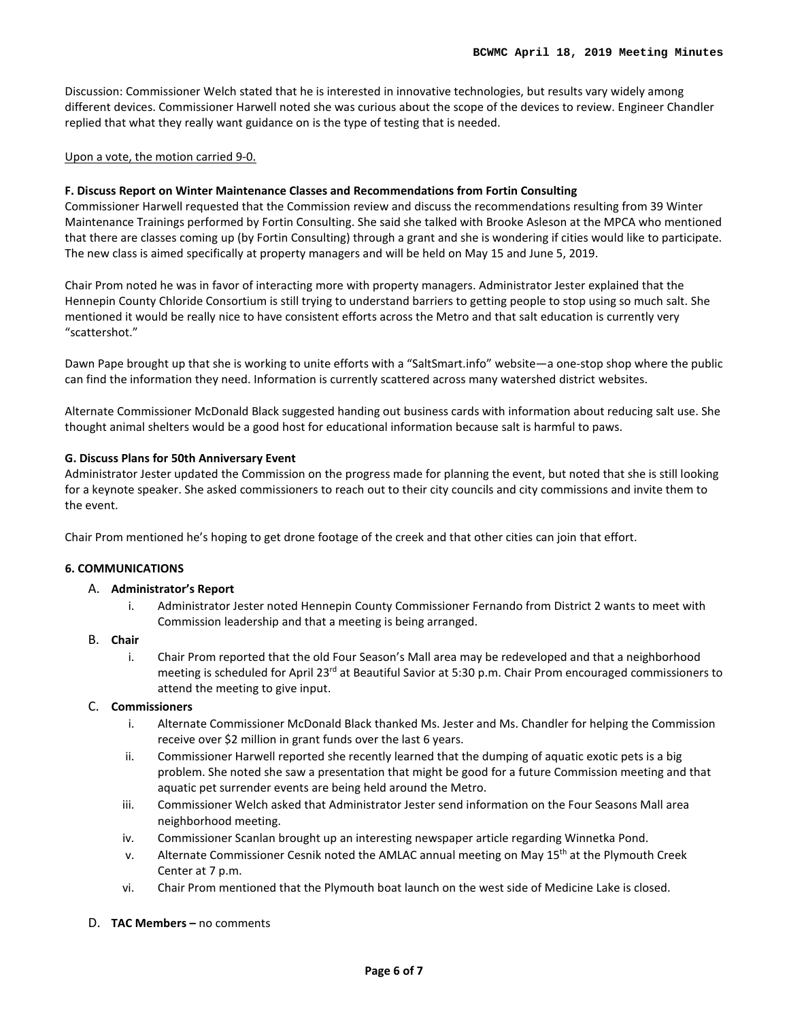Discussion: Commissioner Welch stated that he is interested in innovative technologies, but results vary widely among different devices. Commissioner Harwell noted she was curious about the scope of the devices to review. Engineer Chandler replied that what they really want guidance on is the type of testing that is needed.

#### Upon a vote, the motion carried 9-0.

#### **F. Discuss Report on Winter Maintenance Classes and Recommendations from Fortin Consulting**

Commissioner Harwell requested that the Commission review and discuss the recommendations resulting from 39 Winter Maintenance Trainings performed by Fortin Consulting. She said she talked with Brooke Asleson at the MPCA who mentioned that there are classes coming up (by Fortin Consulting) through a grant and she is wondering if cities would like to participate. The new class is aimed specifically at property managers and will be held on May 15 and June 5, 2019.

Chair Prom noted he was in favor of interacting more with property managers. Administrator Jester explained that the Hennepin County Chloride Consortium is still trying to understand barriers to getting people to stop using so much salt. She mentioned it would be really nice to have consistent efforts across the Metro and that salt education is currently very "scattershot."

Dawn Pape brought up that she is working to unite efforts with a "SaltSmart.info" website—a one-stop shop where the public can find the information they need. Information is currently scattered across many watershed district websites.

Alternate Commissioner McDonald Black suggested handing out business cards with information about reducing salt use. She thought animal shelters would be a good host for educational information because salt is harmful to paws.

#### **G. Discuss Plans for 50th Anniversary Event**

Administrator Jester updated the Commission on the progress made for planning the event, but noted that she is still looking for a keynote speaker. She asked commissioners to reach out to their city councils and city commissions and invite them to the event.

Chair Prom mentioned he's hoping to get drone footage of the creek and that other cities can join that effort.

#### **6. COMMUNICATIONS**

#### A. **Administrator's Report**

i. Administrator Jester noted Hennepin County Commissioner Fernando from District 2 wants to meet with Commission leadership and that a meeting is being arranged.

#### B. **Chair**

i. Chair Prom reported that the old Four Season's Mall area may be redeveloped and that a neighborhood meeting is scheduled for April 23<sup>rd</sup> at Beautiful Savior at 5:30 p.m. Chair Prom encouraged commissioners to attend the meeting to give input.

# C. **Commissioners**

- i. Alternate Commissioner McDonald Black thanked Ms. Jester and Ms. Chandler for helping the Commission receive over \$2 million in grant funds over the last 6 years.
- ii. Commissioner Harwell reported she recently learned that the dumping of aquatic exotic pets is a big problem. She noted she saw a presentation that might be good for a future Commission meeting and that aquatic pet surrender events are being held around the Metro.
- iii. Commissioner Welch asked that Administrator Jester send information on the Four Seasons Mall area neighborhood meeting.
- iv. Commissioner Scanlan brought up an interesting newspaper article regarding Winnetka Pond.
- v. Alternate Commissioner Cesnik noted the AMLAC annual meeting on May 15<sup>th</sup> at the Plymouth Creek Center at 7 p.m.
- vi. Chair Prom mentioned that the Plymouth boat launch on the west side of Medicine Lake is closed.
- D. **TAC Members –** no comments